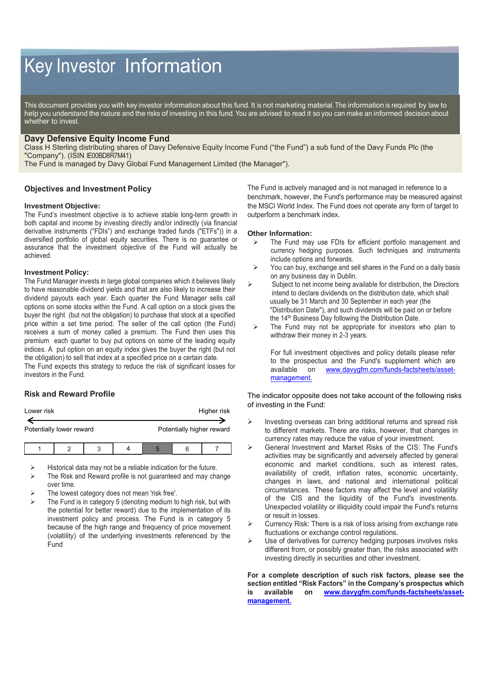# Key Investor Information

This document provides you with key investor information about this fund. It is not marketing material. The information is required by law to help you understand the nature and the risks of investing in this fund. You are advised to read it so you can make an informed decision about whether to invest.

## **Davy Defensive Equity Income Fund**

Class H Sterling distributing shares of Davy Defensive Equity Income Fund ("the Fund") a sub fund of the Davy Funds Plc (the "Company"). (ISIN IE00BD8R7M41)

The Fund is managed by Davy Global Fund Management Limited (the Manager").

## **Objectives and Investment Policy**

#### **Investment Objective:**

The Fund's investment objective is to achieve stable long-term growth in both capital and income by investing directly and/or indirectly (via financial derivative instruments ("FDIs") and exchange traded funds ("ETFs")) in a diversified portfolio of global equity securities. There is no guarantee or assurance that the investment objective of the Fund will actually be achieved.

## **Investment Policy:**

The Fund Manager invests in large global companies which it believes likely to have reasonable dividend yields and that are also likely to increase their dividend payouts each year. Each quarter the Fund Manager sells call options on some stocks within the Fund. A call option on a stock gives the buyer the right (but not the obligation) to purchase that stock at a specified price within a set time period. The seller of the call option (the Fund) receives a sum of money called a premium. The Fund then uses this premium each quarter to buy put options on some of the leading equity indices. A put option on an equity index gives the buyer the right (but not the obligation) to sell that index at a specified price on a certain date.

The Fund expects this strategy to reduce the risk of significant losses for investors in the Fund.

## **Risk and Reward Profile**

| Lower risk               |  |  |  |                           |  | Higher risk |
|--------------------------|--|--|--|---------------------------|--|-------------|
| Potentially lower reward |  |  |  | Potentially higher reward |  |             |
|                          |  |  |  |                           |  |             |

Historical data may not be a reliable indication for the future.

- The Risk and Reward profile is not guaranteed and may change over time.
- The lowest category does not mean 'risk free'.
- The Fund is in category 5 (denoting medium to high risk, but with the potential for better reward) due to the implementation of its investment policy and process. The Fund is in category 5 because of the high range and frequency of price movement (volatility) of the underlying investments referenced by the Fund

The Fund is actively managed and is not managed in reference to a benchmark, however, the Fund's performance may be measured against the MSCI World Index. The Fund does not operate any form of target to outperform a benchmark index.

#### **Other Information:**

- The Fund may use FDIs for efficient portfolio management and currency hedging purposes. Such techniques and instruments include options and forwards.
- $\triangleright$  You can buy, exchange and sell shares in the Fund on a daily basis on any business day in Dublin.
- $\triangleright$  Subject to net income being available for distribution, the Directors intend to declare dividends on the distribution date, which shall usually be 31 March and 30 September in each year (the "Distribution Date"), and such dividends will be paid on or before the 14<sup>th</sup> Business Day following the Distribution Date.
- $\triangleright$  The Fund may not be appropriate for investors who plan to withdraw their money in 2-3 years.

For full investment objectives and policy details please refer to the prospectus and the Fund's supplement which are available on www.davvafm.com/funds-factsheets/asset[www.davygfm.com/funds-factsheets/asset](http://www.davygfm.com/funds-factsheets/asset-management.)[management.](http://www.davygfm.com/funds-factsheets/asset-management.)

The indicator opposite does not take account of the following risks of investing in the Fund:

- $\triangleright$  Investing overseas can bring additional returns and spread risk to different markets. There are risks, however, that changes in currency rates may reduce the value of your investment.
- General Investment and Market Risks of the CIS: The Fund's activities may be significantly and adversely affected by general economic and market conditions, such as interest rates, availability of credit, inflation rates, economic uncertainty, changes in laws, and national and international political circumstances. These factors may affect the level and volatility of the CIS and the liquidity of the Fund's investments. Unexpected volatility or illiquidity could impair the Fund's returns or result in losses.
- Currency Risk: There is a risk of loss arising from exchange rate fluctuations or exchange control regulations.
- Use of derivatives for currency hedging purposes involves risks different from, or possibly greater than, the risks associated with investing directly in securities and other investment.

**For a complete description of such risk factors, please see the section entitled "Risk Factors" in the Company's prospectus which is available on [www.davygfm.com/funds-factsheets/asset](http://www.davygfm.com/funds-factsheets/asset-management.)[management.](http://www.davygfm.com/funds-factsheets/asset-management.)**